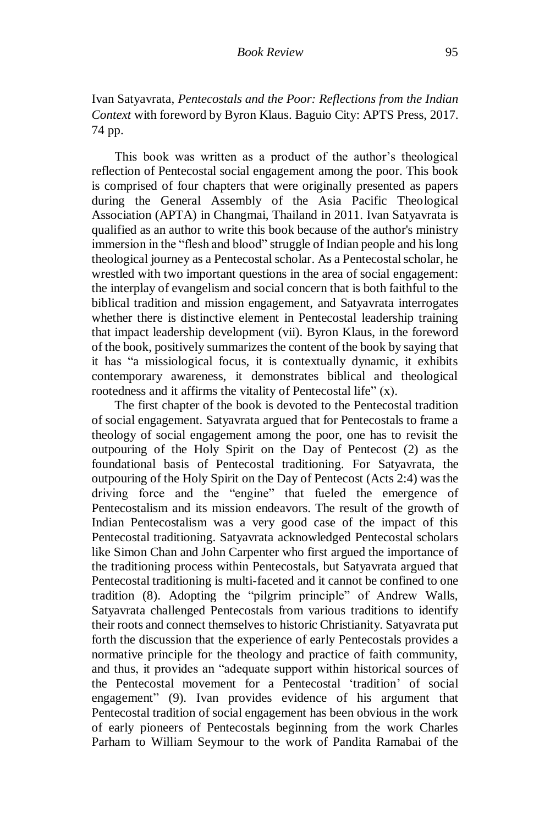Ivan Satyavrata, *Pentecostals and the Poor: Reflections from the Indian Context* with foreword by Byron Klaus. Baguio City: APTS Press, 2017. 74 pp.

This book was written as a product of the author's theological reflection of Pentecostal social engagement among the poor. This book is comprised of four chapters that were originally presented as papers during the General Assembly of the Asia Pacific Theological Association (APTA) in Changmai, Thailand in 2011. Ivan Satyavrata is qualified as an author to write this book because of the author's ministry immersion in the "flesh and blood" struggle of Indian people and his long theological journey as a Pentecostal scholar. As a Pentecostal scholar, he wrestled with two important questions in the area of social engagement: the interplay of evangelism and social concern that is both faithful to the biblical tradition and mission engagement, and Satyavrata interrogates whether there is distinctive element in Pentecostal leadership training that impact leadership development (vii). Byron Klaus, in the foreword of the book, positively summarizes the content of the book by saying that it has "a missiological focus, it is contextually dynamic, it exhibits contemporary awareness, it demonstrates biblical and theological rootedness and it affirms the vitality of Pentecostal life" (x).

The first chapter of the book is devoted to the Pentecostal tradition of social engagement. Satyavrata argued that for Pentecostals to frame a theology of social engagement among the poor, one has to revisit the outpouring of the Holy Spirit on the Day of Pentecost (2) as the foundational basis of Pentecostal traditioning. For Satyavrata, the outpouring of the Holy Spirit on the Day of Pentecost (Acts 2:4) was the driving force and the "engine" that fueled the emergence of Pentecostalism and its mission endeavors. The result of the growth of Indian Pentecostalism was a very good case of the impact of this Pentecostal traditioning. Satyavrata acknowledged Pentecostal scholars like Simon Chan and John Carpenter who first argued the importance of the traditioning process within Pentecostals, but Satyavrata argued that Pentecostal traditioning is multi-faceted and it cannot be confined to one tradition (8). Adopting the "pilgrim principle" of Andrew Walls, Satyavrata challenged Pentecostals from various traditions to identify their roots and connect themselves to historic Christianity. Satyavrata put forth the discussion that the experience of early Pentecostals provides a normative principle for the theology and practice of faith community, and thus, it provides an "adequate support within historical sources of the Pentecostal movement for a Pentecostal 'tradition' of social engagement" (9). Ivan provides evidence of his argument that Pentecostal tradition of social engagement has been obvious in the work of early pioneers of Pentecostals beginning from the work Charles Parham to William Seymour to the work of Pandita Ramabai of the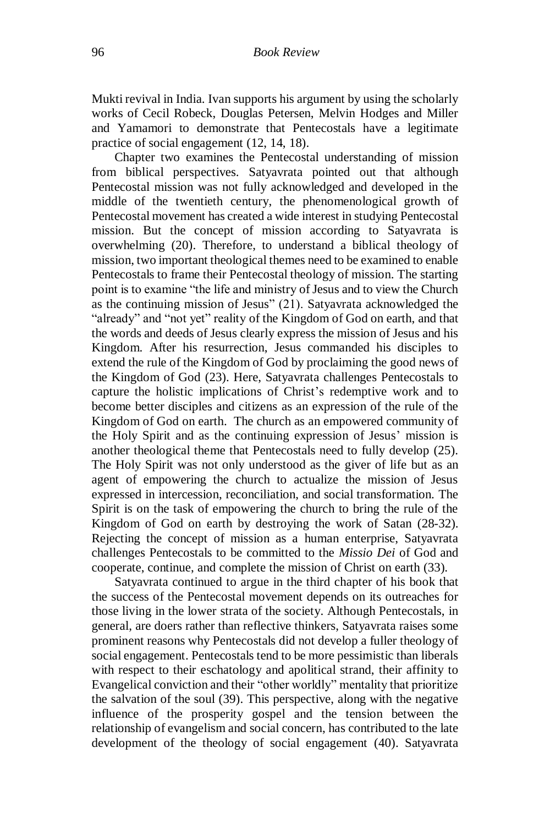Mukti revival in India. Ivan supports his argument by using the scholarly works of Cecil Robeck, Douglas Petersen, Melvin Hodges and Miller and Yamamori to demonstrate that Pentecostals have a legitimate practice of social engagement (12, 14, 18).

Chapter two examines the Pentecostal understanding of mission from biblical perspectives. Satyavrata pointed out that although Pentecostal mission was not fully acknowledged and developed in the middle of the twentieth century, the phenomenological growth of Pentecostal movement has created a wide interest in studying Pentecostal mission. But the concept of mission according to Satyavrata is overwhelming (20). Therefore, to understand a biblical theology of mission, two important theological themes need to be examined to enable Pentecostals to frame their Pentecostal theology of mission. The starting point is to examine "the life and ministry of Jesus and to view the Church as the continuing mission of Jesus" (21). Satyavrata acknowledged the "already" and "not yet" reality of the Kingdom of God on earth, and that the words and deeds of Jesus clearly express the mission of Jesus and his Kingdom. After his resurrection, Jesus commanded his disciples to extend the rule of the Kingdom of God by proclaiming the good news of the Kingdom of God (23). Here, Satyavrata challenges Pentecostals to capture the holistic implications of Christ's redemptive work and to become better disciples and citizens as an expression of the rule of the Kingdom of God on earth. The church as an empowered community of the Holy Spirit and as the continuing expression of Jesus' mission is another theological theme that Pentecostals need to fully develop (25). The Holy Spirit was not only understood as the giver of life but as an agent of empowering the church to actualize the mission of Jesus expressed in intercession, reconciliation, and social transformation. The Spirit is on the task of empowering the church to bring the rule of the Kingdom of God on earth by destroying the work of Satan (28-32). Rejecting the concept of mission as a human enterprise, Satyavrata challenges Pentecostals to be committed to the *Missio Dei* of God and cooperate, continue, and complete the mission of Christ on earth (33).

Satyavrata continued to argue in the third chapter of his book that the success of the Pentecostal movement depends on its outreaches for those living in the lower strata of the society. Although Pentecostals, in general, are doers rather than reflective thinkers, Satyavrata raises some prominent reasons why Pentecostals did not develop a fuller theology of social engagement. Pentecostals tend to be more pessimistic than liberals with respect to their eschatology and apolitical strand, their affinity to Evangelical conviction and their "other worldly" mentality that prioritize the salvation of the soul (39). This perspective, along with the negative influence of the prosperity gospel and the tension between the relationship of evangelism and social concern, has contributed to the late development of the theology of social engagement (40). Satyavrata